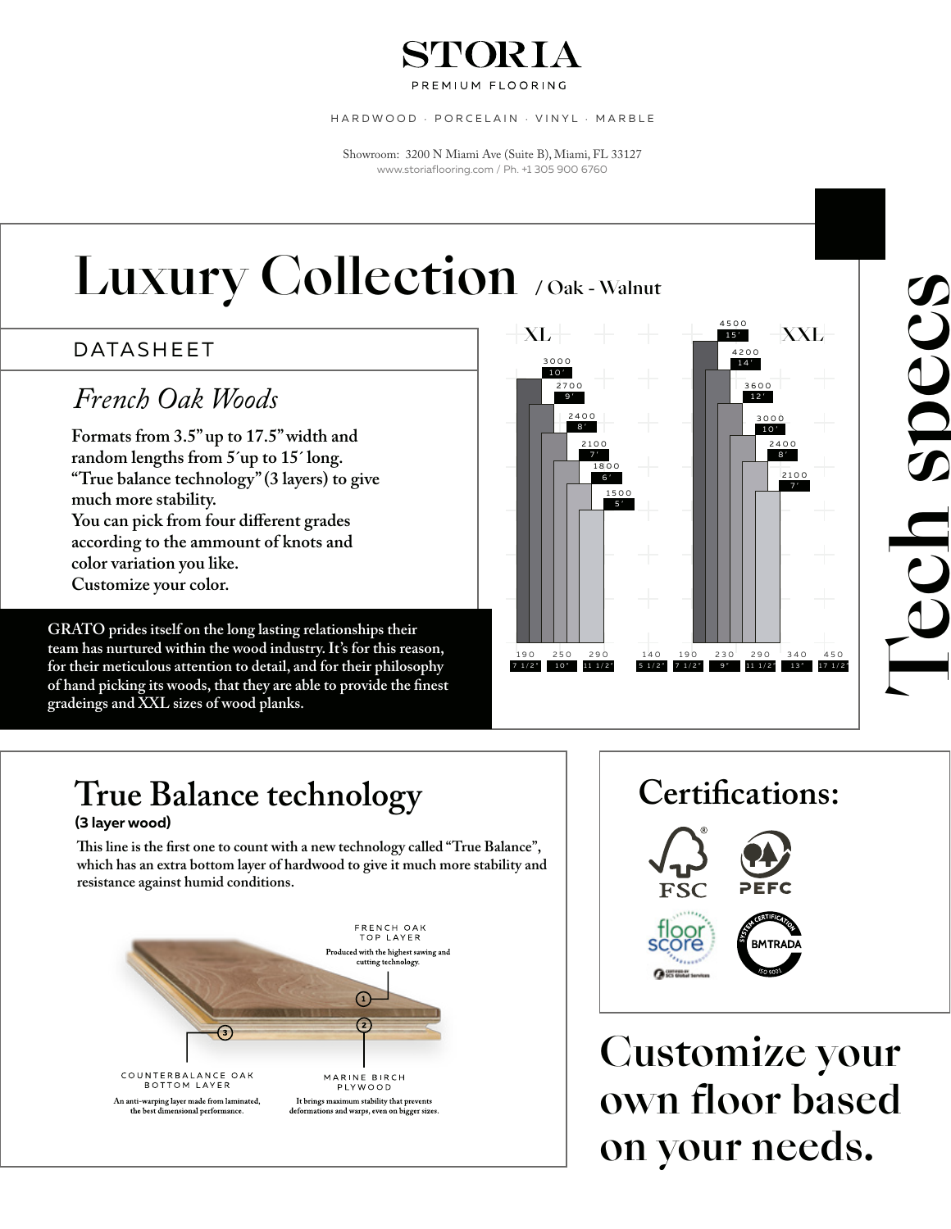### STORIA

PREMIUM FLOORING

HARDWOOD · PORCELAIN · VINYL · MARBLE

Showroom: 3200 N Miami Ave (Suite B), Miami, FL 33127 www.storiaflooring.com / Ph. +1 305 900 6760

## Luxury Collection / Oak - Walnut

#### DATASHEET

### *French Oak Woods*

**Formats from 3.5" up to 17.5" width and random lengths from 5´up to 15´ long. "True balance technology" (3 layers) to give much more stability. You can pick from four different grades according to the ammount of knots and color variation you like. Customize your color.**

**GRATO prides itself on the long lasting relationships their team has nurtured within the wood industry. It's for this reason, for their meticulous attention to detail, and for their philosophy of hand picking its woods, that they are able to provide the finest gradeings and XXL sizes of wood planks.**



## True Balance technology  $\vert$  | Certifications:

#### **(3 layer wood)**

**is line is the first one to count with a new technology called "True Balance", which has an extra bottom layer of hardwood to give it much more stability and resistance against humid conditions.**



Tech specs

SDUU



Customize your own floor based on your needs.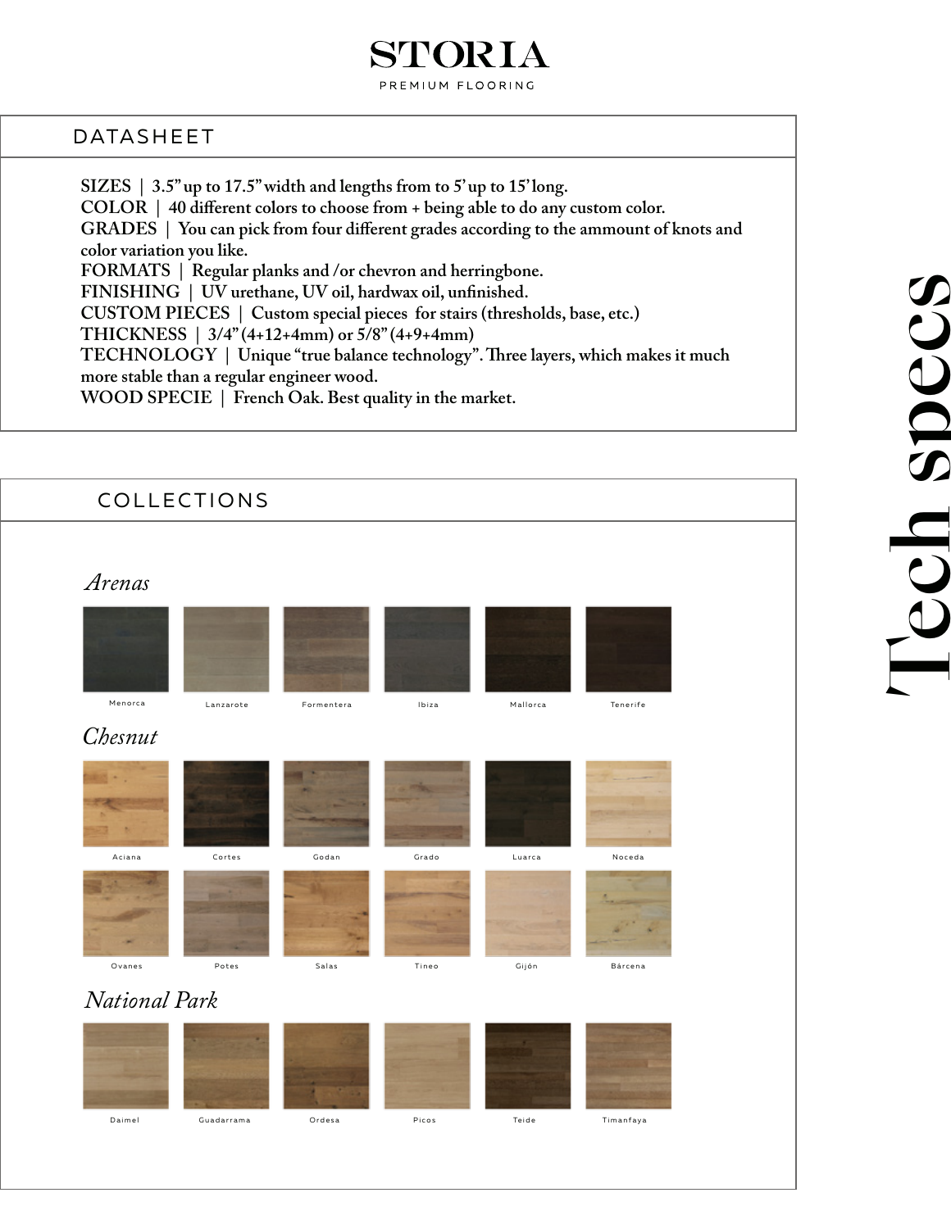#### STORIA PREMIUM FLOORING

#### DATASHEET

**SIZES | 3.5" up to 17.5" width and lengths from to 5' up to 15' long. COLOR | 40 different colors to choose from + being able to do any custom color. GRADES | You can pick from four different grades according to the ammount of knots and color variation you like. FORMATS | Regular planks and /or chevron and herringbone. FINISHING | UV urethane, UV oil, hardwax oil, unfinished. CUSTOM PIECES | Custom special pieces for stairs (thresholds, base, etc.) THICKNESS | 3/4" (4+12+4mm) or 5/8" (4+9+4mm)** TECHNOLOGY | Unique "true balance technology". Three layers, which makes it much **more stable than a regular engineer wood. WOOD SPECIE | French Oak. Best quality in the market.**

| COLLECTIONS |                                                                     |            |       |          |           |  |
|-------------|---------------------------------------------------------------------|------------|-------|----------|-----------|--|
| Arenas      |                                                                     |            |       |          |           |  |
| Menorca     | Lanzarote                                                           | Formentera | Ibiza | Mallorca | Tenerife  |  |
| Chesnut     |                                                                     |            |       |          |           |  |
| Aciana      | Cortes                                                              | Godan      | Grado | Luarca   | Noceda    |  |
| Ovanes      | Potes<br>Salas<br>Tineo<br>Gijón<br>Bárcena<br><b>National Park</b> |            |       |          |           |  |
|             |                                                                     |            |       |          |           |  |
| Daimel      | Guadarrama                                                          | Ordesa     | Picos | Teide    | Timanfaya |  |

# Tech specs SDecs Tech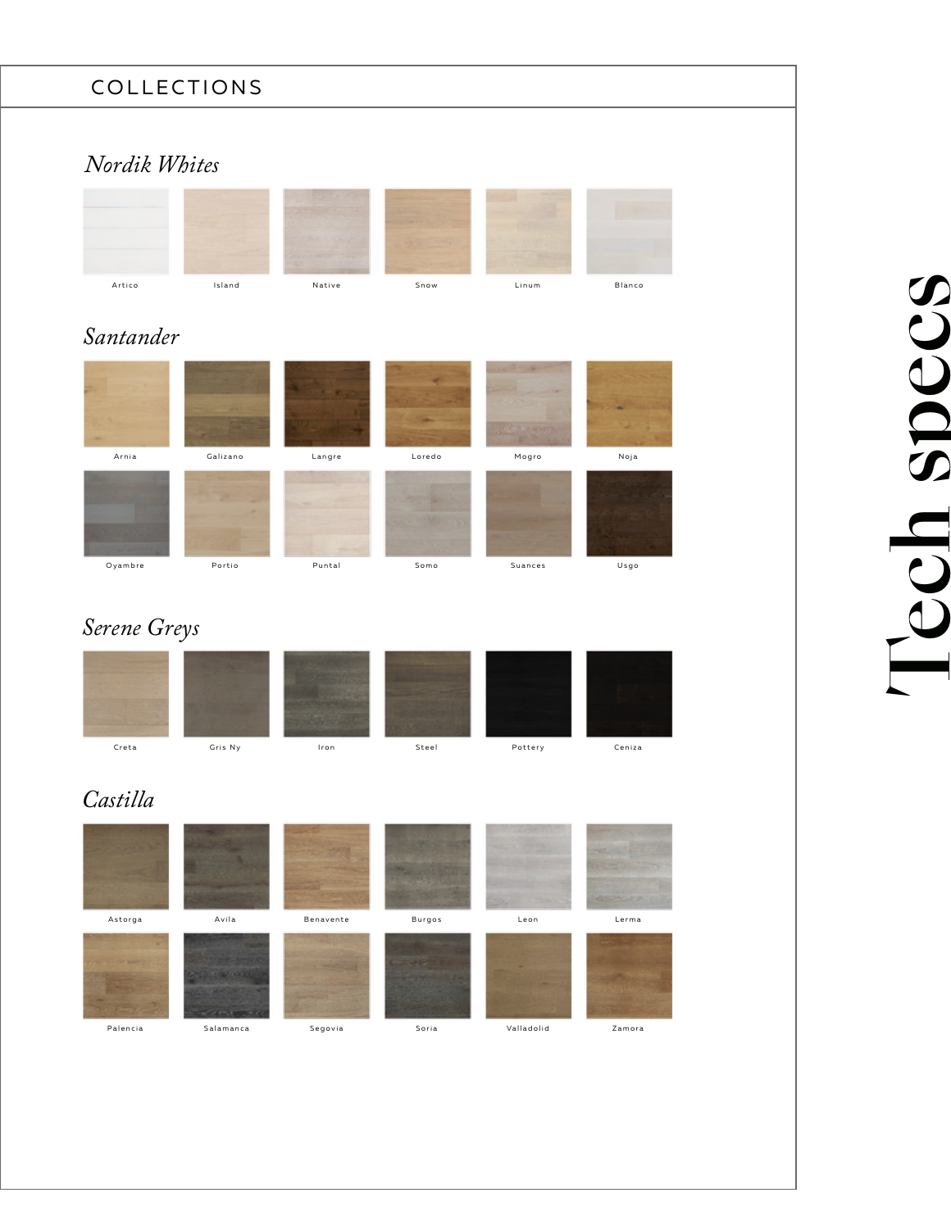#### COLLECTIONS

#### *Nordik Whites*



#### *Santander*



#### *Serene Greys*



#### *Castilla*



# Tech specs SDecs BO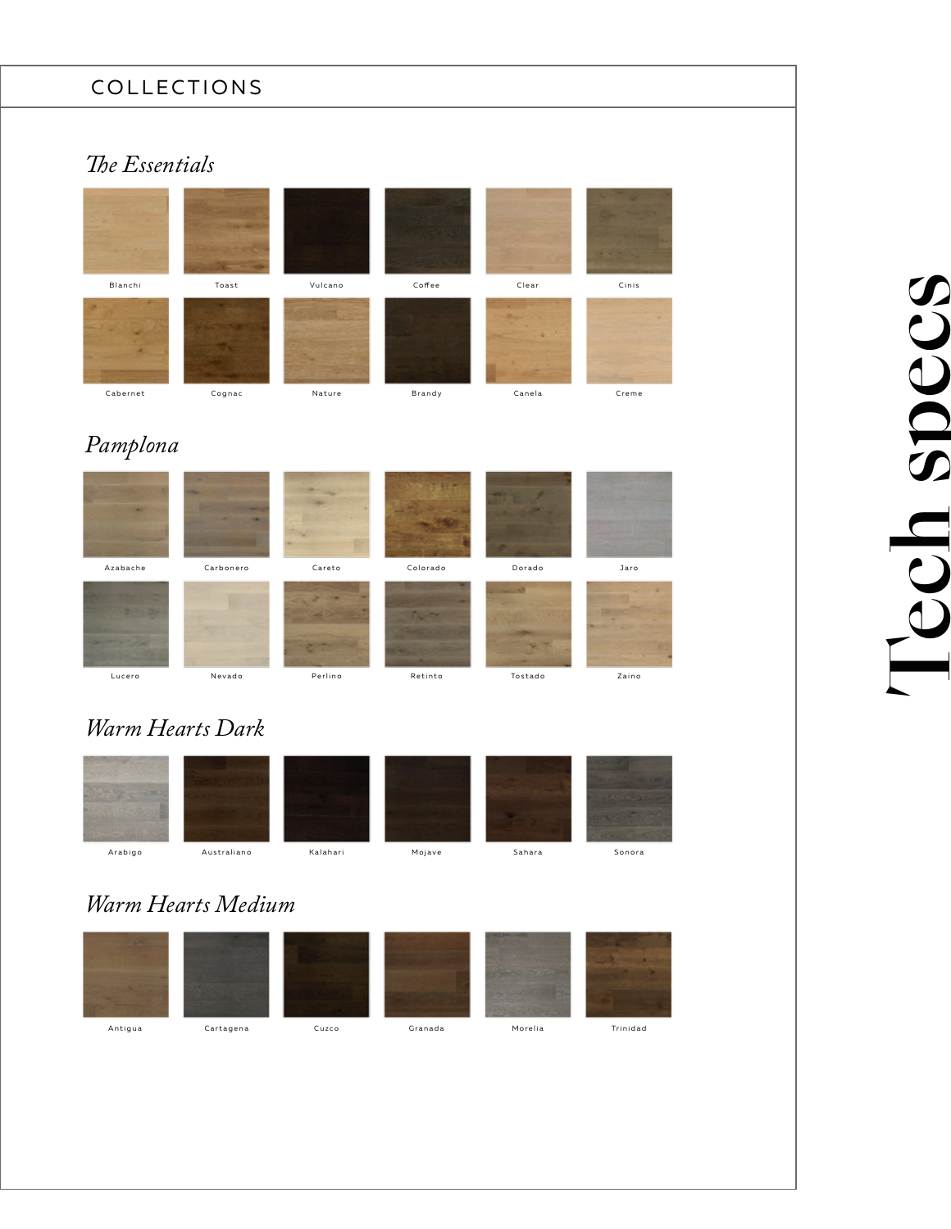#### COLLECTIONS

#### **The Essentials**



#### *Pamplona*



#### *Warm Hearts Dark*



#### *Warm Hearts Medium*